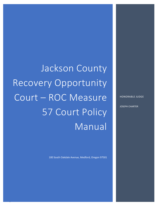Jackson County Recovery Opportunity Court – ROC Measure 57 Court Policy Manual

0

100 South Oakdale Avenue, Medford, Oregon 97501

HONORABLE JUDGE

JOSEPH CHARTER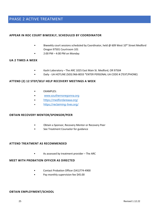# PHASE 2 ACTIVE TREATMENT

# **APPEAR IN ROC COURT BIWEEKLY, SCHEDULED BY COORDINATOR**

- Biweekly court sessions scheduled by Coordinator, held @ 609 West 10<sup>th</sup> Street Medford Oregon 97501 Courtroom 101
- 2:00 PM 4:00 PM on Monday

#### **UA 2 TIMES A WEEK**

- Kashi Laboratory The ARC 1025 East Main St. Medford, OR 97504
- Daily UA HOTLINE (503) 966-8033 \*ENTER PERSONAL UA CODE # (TEXT/PHONE)

#### **ATTEND (2) 12 STEP/SELF HELP RECOVERY MEETINGS A WEEK**

- EXAMPLES:
- [www.southernoregonna.org](http://www.southernoregonna.org/)
- <https://medfordareaaa.org/>
- <https://reclaiming-lives.org/>

#### **OBTAIN RECOVERY MENTOR/SPONSOR/PEER**

- Obtain a Sponsor, Recovery Mentor or Recovery Peer
- See Treatment Counselor for guidance

#### **ATTEND TREATMENT AS RECOMMENDED**

• As assessed by treatment provider – The ARC

#### **MEET WITH PROBATION OFFICER AS DIRECTED**

- Contact Probation Officer (541)774-4900
- Pay monthly supervision fee \$45.00

#### **OBTAIN EMPLOYMENT/SCHOOL**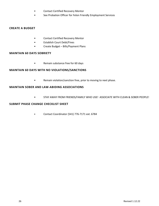- Contact Certified Recovery Mentor
- See Probation Officer for Felon Friendly Employment Services

### **CREATE A BUDGET**

- Contact Certified Recovery Mentor
- Establish Court Debt/Fines
- Create Budget Bills/Payment Plans

### **MAINTAIN 60 DAYS SOBRIETY**

• Remain substance free for 60 days

#### **MAINTAIN 60 DAYS WITH NO VIOLATIONS/SANCTIONS**

• Remain violation/sanction free, prior to moving to next phase.

#### **MAINTAIN SOBER AND LAW-ABIDING ASSOCIATIONS**

• STAY AWAY FROM FRIENDS/FAMILY WHO USE! ASSOCIATE WITH CLEAN & SOBER PEOPLE!

#### **SUBMIT PHASE CHANGE CHECKLIST SHEET**

• Contact Coordinator (541) 776-7171 ext. 71096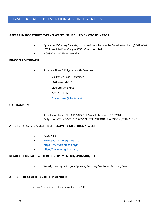# PHASE 3 RELAPSE PREVENTION & REINTEGRATION

# **APPEAR IN ROC COURT EVERY 3 WEEKS, SCHEDULED BY COORDINATOR**

- Appear in ROC every 3 weeks, court sessions scheduled by Coordinator, held @ 609 West 10<sup>th</sup> Street Medford Oregon 97501 Courtroom 101
- 2:00 PM 4:00 PM on Monday

#### **PHASE 3 POLYGRAPH**

• Schedule Phase 3 Polygraph with Examiner

Kiki Parker-Rose – Examiner 1101 West Main St Medford, OR 97501 (541)281-4312 [Kparker-rose@charter.net](mailto:Kparker-rose@charter.net)

#### **UA - RANDOM**

- Kashi Laboratory The ARC 1025 East Main St. Medford, OR 97504
- Daily UA HOTLINE (503) 966-8033 \*ENTER PERSONAL UA CODE # (TEXT/PHONE)

# **ATTEND (2) 12 STEP/SELF HELP RECOVERY MEETINGS A WEEK**

- EXAMPLES:
- [www.southernoregonna.org](http://www.southernoregonna.org/)
- <https://medfordareaaa.org/>
- <https://reclaiming-lives.org/>

#### **REGULAR CONTACT WITH RECOVERY MENTOR/SPONSOR/PEER**

• Weekly meetings with your Sponsor, Recovery Mentor or Recovery Peer

#### **ATTEND TREATMENT AS RECOMMENDED**

• As Assessed by treatment provider – The ARC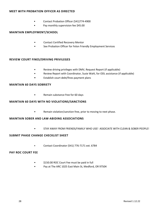# **MEET WITH PROBATION OFFICER AS DIRECTED**

- Contact Probation Officer (541)774-4900
- Pay monthly supervision fee \$45.00

# **MAINTAIN EMPLOYMENT/SCHOOL**

- Contact Certified Recovery Mentor
- See Probation Officer for Felon Friendly Employment Services

# **REVIEW COURT FINES/DRIVING PRIVILEGES**

- Review driving privileges with DMV, Request Report (if applicable)
- Review Report with Coordinator, Susie Wahl, for ODL assistance (if applicable)
- Establish court debt/fines payment plans

# **MAINTAIN 60 DAYS SOBRIETY**

• Remain substance free for 60 days

# **MAINTAIN 60 DAYS WITH NO VIOLATIONS/SANCTIONS**

• Remain violation/sanction free, prior to moving to next phase.

# **MAINTAIN SOBER AND LAW-ABIDING ASSOCIATIONS**

• STAY AWAY FROM FRIENDS/FAMILY WHO USE! ASSOCIATE WITH CLEAN & SOBER PEOPLE!

# **SUBMIT PHASE CHANGE CHECKLIST SHEET**

• Contact Coordinator (541) 776-7171 ext. 71096

# **PAY ROC COURT FEE**

- \$150.00 ROC Court Fee must be paid in full
- Pay at The ARC 1025 East Main St, Medford, OR 97504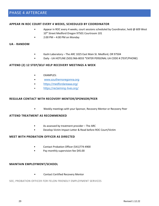# PHASE 4 AFTERCARE

#### **APPEAR IN ROC COURT EVERY 4 WEEKS, SCHEDULED BY COORDINATOR**

- Appear in ROC every 4 weeks, court sessions scheduled by Coordinator, held @ 609 West 10<sup>th</sup> Street Medford Oregon 97501 Courtroom 101
- $\bullet$  2:00 PM 4:00 PM on Monday

#### **UA - RANDOM**

- Kashi Laboratory The ARC 1025 East Main St. Medford, OR 97504
- Daily UA HOTLINE (503) 966-8033 \*ENTER PERSONAL UA CODE # (TEXT/PHONE)

#### **ATTEND (2) 12 STEP/SELF HELP RECOVERY MEETINGS A WEEK**

- EXAMPLES:
- [www.southernoregonna.org](http://www.southernoregonna.org/)
- <https://medfordareaaa.org/>
- <https://reclaiming-lives.org/>

#### **REGULAR CONTACT WITH RECOVERY MENTOR/SPONSOR/PEER**

• Weekly meetings with your Sponsor, Recovery Mentor or Recovery Peer

#### **ATTEND TREATMENT AS RECOMMENDED**

- As assessed by treatment provider The ARC
- Develop Victim Impact Letter & Read before ROC Court/Victim

# **MEET WITH PROBATION OFFICER AS DIRECTED**

- Contact Probation Officer (541)774-4900
- Pay monthly supervision fee \$45.00

#### **MAINTAIN EMPLOYMENT/SCHOOL**

• Contact Certified Recovery Mentor

#### SEE, PROBATION OFFICER FOR FELON FRIENDLY EMPLOYMENT SERVICES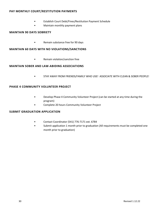# **PAY MONTHLY COURT/RESTITUTION PAYMENTS**

- Establish Court Debt/Fines/Restitution Payment Schedule
- Maintain monthly payment plans

#### **MAINTAIN 90 DAYS SOBRIETY**

• Remain substance free for 90 days

#### **MAINTAIN 60 DAYS WITH NO VIOLATIONS/SANCTIONS**

• Remain violation/sanction free

# **MAINTAIN SOBER AND LAW-ABIDING ASSOCIATIONS**

• STAY AWAY FROM FRIENDS/FAMILY WHO USE! ASSOCIATE WITH CLEAN & SOBER PEOPLE!

# **PHASE 4 COMMUNITY VOLUNTEER PROJECT**

- Develop Phase 4 Community Volunteer Project (can be started at any time during the program)
- Complete 20 hours Community Volunteer Project

# **SUBMIT GRADUATION APPLICATION**

- Contact Coordinator (541) 776-7171 ext. 71096
- Submit application 1 month prior to graduation (All requirements must be completed one month prior to graduation)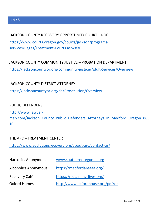# LINKS

# JACKSON COUNTY RECOVERY OPPORTUNITY COURT – ROC

[https://www.courts.oregon.gov/courts/jackson/programs](https://www.courts.oregon.gov/courts/jackson/programs-services/Pages/Treatment-Courts.aspx#ROC)[services/Pages/Treatment-Courts.aspx#ROC](https://www.courts.oregon.gov/courts/jackson/programs-services/Pages/Treatment-Courts.aspx#ROC)

JACKSON COUNTY COMMUNITY JUSTICE – PROBATION DEPARTMENT <https://jacksoncountyor.org/community-justice/Adult-Services/Overview>

JACKSON COUNTY DISTRICT ATTORNEY <https://jacksoncountyor.org/da/Prosecution/Overview>

# PUBLIC DEFENDERS

[http://www.lawyer](http://www.lawyer-map.com/Jackson_County_Public_Defenders_Attorneys_in_Medford_Oregon_86510)map.com/Jackson County Public Defenders Attorneys in Medford Oregon 865 [10](http://www.lawyer-map.com/Jackson_County_Public_Defenders_Attorneys_in_Medford_Oregon_86510)

# THE ARC – TREATMENT CENTER

<https://www.addictionsrecovery.org/about-arc/contact-us/>

| <b>Narcotics Anonymous</b>  | www.southernoregonna.org          |
|-----------------------------|-----------------------------------|
| <b>Alcoholics Anonymous</b> | https://medfordareaaa.org/        |
| Recovery Café               | https://reclaiming-lives.org/     |
| Oxford Homes                | http://www.oxfordhouse.org/pdf/or |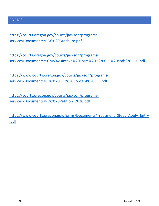# FORMS

[https://courts.oregon.gov/courts/jackson/programs](https://courts.oregon.gov/courts/jackson/programs-services/Documents/ROC%20Brochure.pdf)[services/Documents/ROC%20Brochure.pdf](https://courts.oregon.gov/courts/jackson/programs-services/Documents/ROC%20Brochure.pdf)

[https://www.courts.oregon.gov/courts/jackson/programs](https://courts.oregon.gov/courts/jackson/programs-services/Documents/SCMS%20Intake%20Form%20-%20CFC%20and%20ROC.pdf)[services/Documents/ROC%20OJD%20Consent%20ROI.pdf](https://courts.oregon.gov/courts/jackson/programs-services/Documents/SCMS%20Intake%20Form%20-%20CFC%20and%20ROC.pdf)

[https://courts.oregon.gov/courts/jackson/programs](https://www.courts.oregon.gov/courts/jackson/programs-services/Documents/ROC%20OJD%20Consent%20ROI.pdf)[services/Documents/ROC%20Petition\\_2020.pdf](https://www.courts.oregon.gov/courts/jackson/programs-services/Documents/ROC%20OJD%20Consent%20ROI.pdf)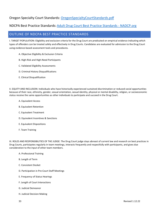# Oregon Specialty Court Standards: [OregonSpecialtyCourtStandards.pdf](https://www.oregon.gov/cjc/sc/Documents/OregonSpecialtyCourtStandards.pdf)

# NDCPA Best Practice Standards: [Adult Drug Court Best Practice Standards - NADCP.org](https://www.nadcp.org/standards/adult-drug-court-best-practice-standards/)

# OUTLINE OF NDCPA BEST PRACTICE STANDARDS

I. TARGET POPULATION: Eligibility and exclusion criteria for the Drug Court are predicated on empirical evidence indicating which types of offenders can be treated safely and effectively in Drug Courts. Candidates are evaluated for admission to the Drug Court using evidence-based assessment tools and procedures.

- A. Objective Eligibility & Exclusion Criteria
- B. High-Risk and High-Need Participants
- C. Validated Eligibility Assessments
- D. Criminal History Disqualifications
- E. Clinical Disqualification

II. EQUITY AND INCLUSION: Individuals who have historically experienced sustained discrimination or reduced social opportunities because of their race, ethnicity, gender, sexual orientation, sexual identity, physical or mental disability, religion, or socioeconomic status receive the same opportunities as other individuals to participate and succeed in the Drug Court.

- A. Equivalent Access
- B. Equivalent Retention
- C. Equivalent Treatment
- D. Equivalent Incentives & Sanctions
- E. Equivalent Dispositions
- F. Team Training

III. ROLES AND RESPONSIBILITIES OF THE JUDGE: The Drug Court judge stays abreast of current law and research on best practices in Drug Courts, participates regularly in team meetings, interacts frequently and respectfully with participants, and gives due consideration to the input of other team members.

- A. Professional Training
- B. Length of Term
- C. Consistent Docket
- D. Participation in Pre-Court Staff Meetings
- E. Frequency of Status Hearings
- F. Length of Court Interactions
- G. Judicial Demeanor
- H. Judicial Decision Making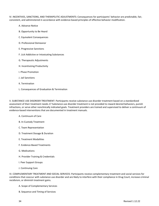IV. INCENTIVES, SANCTIONS, AND THERAPEUTIC ADJUSTMENTS: Consequences for participants' behavior are predictable, fair, consistent, and administered in accordance with evidence-based principles of effective behavior modification.

- A. Advance Notice
- B. Opportunity to Be Heard
- C. Equivalent Consequences
- D. Professional Demeanor
- E. Progressive Sanctions
- F. Licit Addictive or Intoxicating Substances
- G. Therapeutic Adjustments
- H. Incentivizing Productivity
- I. Phase Promotion
- J. Jail Sanctions
- K. Termination
- L. Consequences of Graduation & Termination

V. SUBSTANCE USE DISORDER TREATMENT: Participants receive substance use disorder treatment based on a standardized assessment of their treatment needs.17 Substance use disorder treatment is not provided to reward desired behaviors, punish infractions, or serve other nonclinically indicated goals. Treatment providers are trained and supervised to deliver a continuum of evidence-based interventions that are documented in treatment manuals.

- A. Continuum of Care
- B. In-Custody Treatment
- C. Team Representation
- D. Treatment Dosage & Duration
- E. Treatment Modalities
- F. Evidence-Based Treatments
- G. Medications
- H. Provider Training & Credentials
- I. Peer Support Groups
- J. Continuing Care

VI. COMPLEMENTARY TREATMENT AND SOCIAL SERVICES: Participants receive complementary treatment and social services for conditions that cooccur with substance use disorder and are likely to interfere with their compliance in Drug Court, increase criminal recidivism, or diminish treatment gains.

- A. Scope of Complementary Services
- B. Sequence and Timing of Services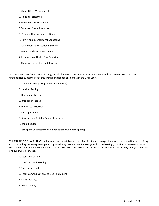- C. Clinical Case Management
- D. Housing Assistance
- E. Mental Health Treatment
- F. Trauma-Informed Services
- G. Criminal Thinking Interventions
- H. Family and Interpersonal Counseling
- I. Vocational and Educational Services
- J. Medical and Dental Treatment
- K. Prevention of Health-Risk Behaviors
- L. Overdose Prevention and Reversal

VII. DRUG AND ALCOHOL TESTING: Drug and alcohol testing provides an accurate, timely, and comprehensive assessment of unauthorized substance use throughout participants' enrollment in the Drug Court.

- A. Frequent Testing (2x @ week until Phase 4)
- B. Random Testing
- C. Duration of Testing
- D. Breadth of Testing
- E. Witnessed Collection
- F. Valid Specimens
- G. Accurate and Reliable Testing Procedures
- H. Rapid Results
- I. Participant Contract (reviewed periodically with participants)

VIII. MULTIDISCIPLINARY TEAM: A dedicated multidisciplinary team of professionals manages the day-to-day operations of the Drug Court, including reviewing participant progress during pre-court staff meetings and status hearings, contributing observations and recommendations within team members' respective areas of expertise, and delivering or overseeing the delivery of legal, treatment and supervision services.

- A. Team Composition
- B. Pre-Court Staff Meetings
- C. Sharing Information
- D. Team Communication and Decision Making
- E. Status Hearings
- F. Team Training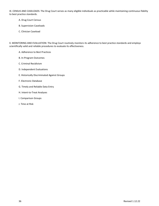IX. CENSUS AND CASELOADS: The Drug Court serves as many eligible individuals as practicable while maintaining continuous fidelity to best practice standards.

- A. Drug Court Census
- B. Supervision Caseloads
- C. Clinician Caseload

X. MONITORING AND EVALUATION: The Drug Court routinely monitors its adherence to best practice standards and employs scientifically valid and reliable procedures to evaluate its effectiveness.

- A. Adherence to Best Practices
- B. In-Program Outcomes
- C. Criminal Recidivism
- D. Independent Evaluations
- E. Historically Discriminated Against Groups
- F. Electronic Database
- G. Timely and Reliable Data Entry
- H. Intent-to-Treat Analyses
- I. Comparison Groups
- J. Time at Risk